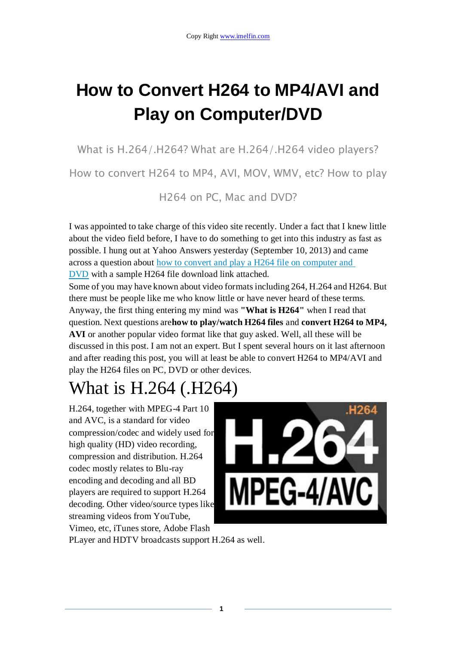# **How to Convert H264 to MP4/AVI and Play on Computer/DVD**

What is H.264/.H264? What are H.264/.H264 video players?

How to convert H264 to MP4, AVI, MOV, WMV, etc? How to play

H264 on PC, Mac and DVD?

I was appointed to take charge of this video site recently. Under a fact that I knew little about the video field before, I have to do something to get into this industry as fast as possible. I hung out at Yahoo Answers yesterday (September 10, 2013) and came across a question about how to convert and play a H264 file on computer and [DVD](http://answers.yahoo.com/question/index?qid=20130908125619AAOJKcW) with a sample H264 file download link attached.

Some of you may have known about video formats including 264, H.264 and H264. But there must be people like me who know little or have never heard of these terms. Anyway, the first thing entering my mind was **"What is H264"** when I read that question. Next questions are**how to play/watch H264 files** and **convert H264 to MP4, AVI** or another popular video format like that guy asked. Well, all these will be discussed in this post. I am not an expert. But I spent several hours on it last afternoon and after reading this post, you will at least be able to convert H264 to MP4/AVI and play the H264 files on PC, DVD or other devices.

# What is H.264 (.H264)

H.264, together with MPEG-4 Part 10 and AVC, is a standard for video compression/codec and widely used for high quality (HD) video recording, compression and distribution. H.264 codec mostly relates to Blu-ray encoding and decoding and all BD players are required to support H.264 decoding. Other video/source types like streaming videos from YouTube, Vimeo, etc, iTunes store, Adobe Flash



PLayer and HDTV broadcasts support H.264 as well.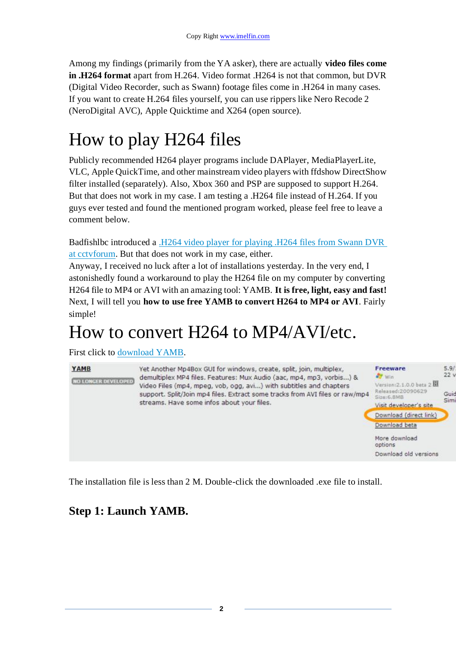Among my findings (primarily from the YA asker), there are actually **video files come in .H264 format** apart from H.264. Video format .H264 is not that common, but DVR (Digital Video Recorder, such as Swann) footage files come in .H264 in many cases. If you want to create H.264 files yourself, you can use rippers like Nero Recode 2 (NeroDigital AVC), Apple Quicktime and X264 (open source).

# How to play H264 files

Publicly recommended H264 player programs include DAPlayer, MediaPlayerLite, VLC, Apple QuickTime, and other mainstream video players with ffdshow DirectShow filter installed (separately). Also, Xbox 360 and PSP are supposed to support H.264. But that does not work in my case. I am testing a .H264 file instead of H.264. If you guys ever tested and found the mentioned program worked, please feel free to leave a comment below.

Badfishlbc introduced a [.H264 video player for playing .H264 files from Swann DVR](http://www.cctvforum.com/viewtopic.php?f=6&t=28275)  [at cctvforum.](http://www.cctvforum.com/viewtopic.php?f=6&t=28275) But that does not work in my case, either.

Anyway, I received no luck after a lot of installations yesterday. In the very end, I astonishedly found a workaround to play the H264 file on my computer by converting H264 file to MP4 or AVI with an amazing tool: YAMB. **It is free, light, easy and fast!** Next, I will tell you **how to use free YAMB to convert H264 to MP4 or AVI**. Fairly simple!

### How to convert H264 to MP4/AVI/etc.

First click to [download YAMB.](http://www.videohelp.com/tools/YAMB)



The installation file is less than 2 M. Double-click the downloaded .exe file to install.

### **Step 1: Launch YAMB.**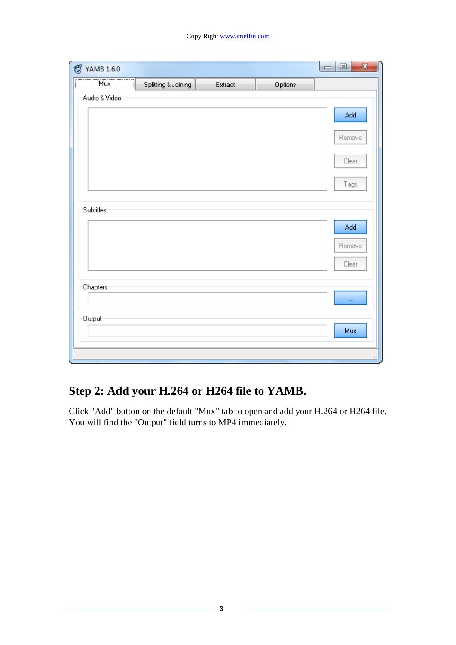| ొల<br><b>YAMB 1.6.0</b> |                     |         |         | ×<br>Θ<br>$\qquad \qquad \Box$ |
|-------------------------|---------------------|---------|---------|--------------------------------|
| Mux<br><u>i</u>         | Splitting & Joining | Extract | Options |                                |
| Audio & Video           |                     |         |         |                                |
|                         |                     |         |         | Add                            |
|                         |                     |         |         |                                |
|                         |                     |         |         | Remove                         |
|                         |                     |         |         | Clear                          |
|                         |                     |         |         |                                |
|                         |                     |         |         | Tags                           |
|                         |                     |         |         |                                |
| Subtitles               |                     |         |         |                                |
|                         |                     |         |         | Add                            |
|                         |                     |         |         | Remove                         |
|                         |                     |         |         | Clear                          |
|                         |                     |         |         |                                |
| Chapters <sup>.</sup>   |                     |         |         |                                |
|                         |                     |         |         | $\cdots$                       |
| Output-                 |                     |         |         |                                |
|                         |                     |         |         | Mux                            |
|                         |                     |         |         |                                |
|                         |                     |         |         | лî                             |

### **Step 2: Add your H.264 or H264 file to YAMB.**

Click "Add" button on the default "Mux" tab to open and add your H.264 or H264 file. You will find the "Output" field turns to MP4 immediately.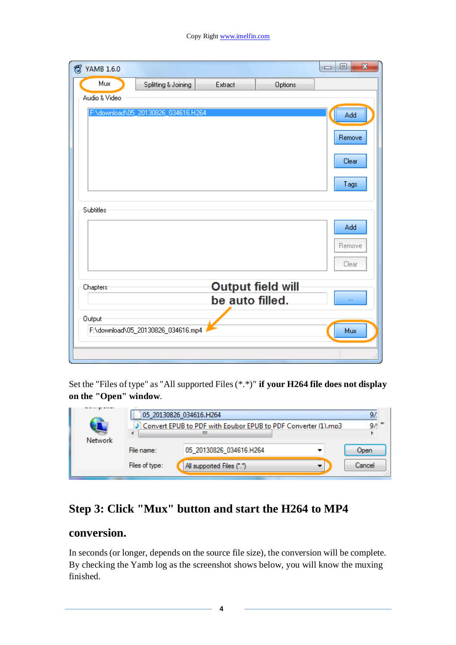| జి<br><b>YAMB 1.6.0</b> |                                     |                 |                   | $\mathbf{x}$<br>Θ<br>$\Box$ |
|-------------------------|-------------------------------------|-----------------|-------------------|-----------------------------|
| Mux                     | Splitting & Joining                 | Extract         | Options           |                             |
| Audio & Video           |                                     |                 |                   |                             |
|                         | F:\download\05_20130826_034616.H264 |                 |                   | Add                         |
|                         |                                     |                 |                   |                             |
|                         |                                     |                 |                   | Remove                      |
|                         |                                     |                 |                   | Clear                       |
|                         |                                     |                 |                   |                             |
|                         |                                     |                 |                   | Tags                        |
|                         |                                     |                 |                   |                             |
| Subtitles               |                                     |                 |                   |                             |
|                         |                                     |                 |                   | Add                         |
|                         |                                     |                 |                   | Remove                      |
|                         |                                     |                 |                   | Clear                       |
|                         |                                     |                 |                   |                             |
| Chapters                |                                     |                 | Output field will |                             |
|                         |                                     | be auto filled. |                   |                             |
| Output-                 |                                     |                 |                   |                             |
|                         | F:\download\05_20130826_034616.mp4  |                 |                   | Mux                         |
|                         |                                     |                 |                   |                             |
|                         |                                     |                 |                   |                             |

Set the "Files of type" as "All supported Files (\*.\*)" **if your H264 file does not display on the "Open" window**.

|         | 20130826 034616.H264                                             |                           |               |
|---------|------------------------------------------------------------------|---------------------------|---------------|
|         | 3] Convert EPUB to PDF with Epubor EPUB to PDF Converter (1).mp3 |                           |               |
| Network |                                                                  |                           |               |
|         | File name:                                                       | 05_20130826_034616.H264   | Joen          |
|         | Files of type:                                                   | All supported Files (*.*) | <b>Jancel</b> |

### **Step 3: Click "Mux" button and start the H264 to MP4**

#### **conversion.**

In seconds (or longer, depends on the source file size), the conversion will be complete. By checking the Yamb log as the screenshot shows below, you will know the muxing finished.

**4**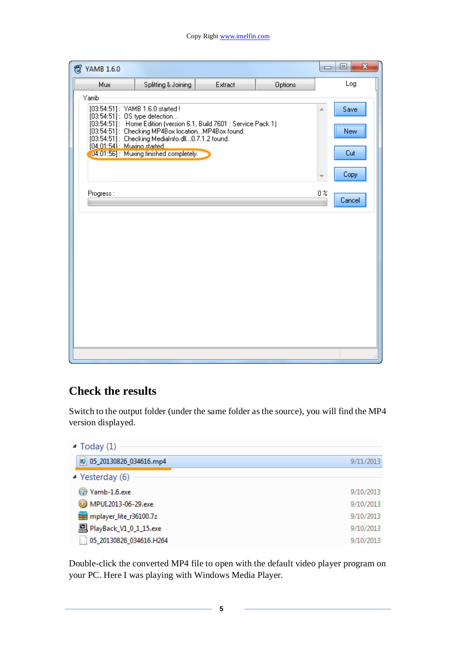#### Copy Right www.imelfin.com

| జి<br><b>YAMB 1.6.0</b>                                                                                                                                                                                                                                      |                                         |         |         | $\Box$           | $\mathbf{x}$<br>回  |
|--------------------------------------------------------------------------------------------------------------------------------------------------------------------------------------------------------------------------------------------------------------|-----------------------------------------|---------|---------|------------------|--------------------|
| Mux                                                                                                                                                                                                                                                          | Splitting & Joining                     | Extract | Options |                  | Log                |
| Yamb<br>[03:54:51]: YAMB 1.6.0 started !<br>$[03:54:51]$ : OS type detection<br>[03:54:51]: Home Edition (version 6.1, Build 7601 : Service Pack 1)<br>[03:54:51]: Checking MP4Box locationMP4Box found.<br>[03:54:51]: Checking MediaInfo.dll0.7.1.2 found. |                                         |         |         |                  | Save<br><b>New</b> |
| [04:01:541: Muxing started.                                                                                                                                                                                                                                  | (U4:01:56]: Muxing finished completely. |         |         |                  | Cut                |
|                                                                                                                                                                                                                                                              |                                         |         |         |                  | Copy               |
| Progress:                                                                                                                                                                                                                                                    |                                         |         |         | $0\,\mathrm{\%}$ | Cancel             |
|                                                                                                                                                                                                                                                              |                                         |         |         |                  |                    |
|                                                                                                                                                                                                                                                              |                                         |         |         |                  |                    |
|                                                                                                                                                                                                                                                              |                                         |         |         |                  |                    |
|                                                                                                                                                                                                                                                              |                                         |         |         |                  |                    |
|                                                                                                                                                                                                                                                              |                                         |         |         |                  |                    |
|                                                                                                                                                                                                                                                              |                                         |         |         |                  |                    |
|                                                                                                                                                                                                                                                              |                                         |         |         |                  |                    |
|                                                                                                                                                                                                                                                              |                                         |         |         |                  |                    |

#### **Check the results**

Switch to the output folder (under the same folder as the source), you will find the MP4 version displayed.

| $\triangle$ Today (1)           |           |
|---------------------------------|-----------|
| 图 05_20130826_034616.mp4        | 9/11/2013 |
| $\blacktriangle$ Yesterday (6)  |           |
| Yamb-1.6.exe                    | 9/10/2013 |
| MPUI.2013-06-29.exe             | 9/10/2013 |
| mplayer_lite_r36100.7z          | 9/10/2013 |
| <b>D</b> PlayBack_V1_0_1_15.exe | 9/10/2013 |
| 05_20130826_034616.H264         | 9/10/2013 |

Double-click the converted MP4 file to open with the default video player program on your PC. Here I was playing with Windows Media Player.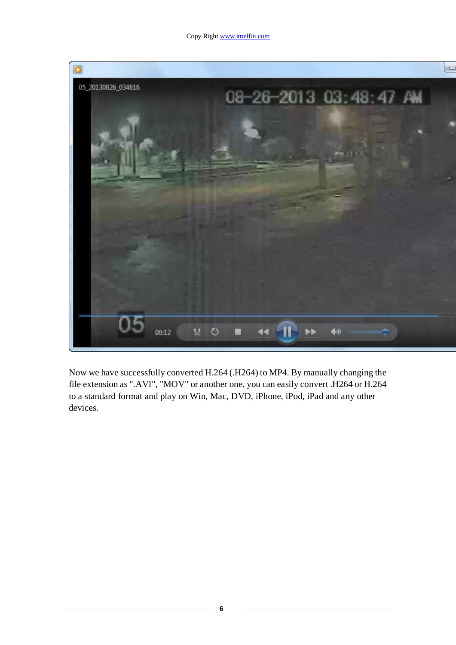

Now we have successfully converted H.264 (.H264) to MP4. By manually changing the file extension as ".AVI", "MOV" or another one, you can easily convert .H264 or H.264 to a standard format and play on Win, Mac, DVD, iPhone, iPod, iPad and any other devices.